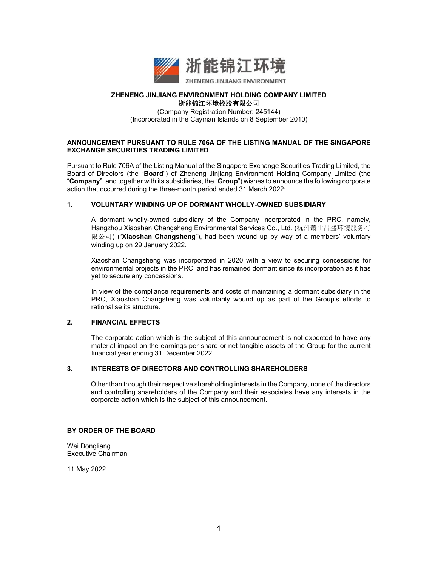

#### **ZHENENG JINJIANG ENVIRONMENT HOLDING COMPANY LIMITED**  浙能锦江环境控股有限公司

(Company Registration Number: 245144) (Incorporated in the Cayman Islands on 8 September 2010)

### **ANNOUNCEMENT PURSUANT TO RULE 706A OF THE LISTING MANUAL OF THE SINGAPORE EXCHANGE SECURITIES TRADING LIMITED**

Pursuant to Rule 706A of the Listing Manual of the Singapore Exchange Securities Trading Limited, the Board of Directors (the "**Board**") of Zheneng Jinjiang Environment Holding Company Limited (the "**Company**", and together with its subsidiaries, the "**Group**") wishes to announce the following corporate action that occurred during the three-month period ended 31 March 2022:

## **1. VOLUNTARY WINDING UP OF DORMANT WHOLLY-OWNED SUBSIDIARY**

A dormant wholly-owned subsidiary of the Company incorporated in the PRC, namely, Hangzhou Xiaoshan Changsheng Environmental Services Co., Ltd. (杭州萧山昌盛环境服务有 限公司) ("**Xiaoshan Changsheng**"), had been wound up by way of a members' voluntary winding up on 29 January 2022.

Xiaoshan Changsheng was incorporated in 2020 with a view to securing concessions for environmental projects in the PRC, and has remained dormant since its incorporation as it has yet to secure any concessions.

In view of the compliance requirements and costs of maintaining a dormant subsidiary in the PRC, Xiaoshan Changsheng was voluntarily wound up as part of the Group's efforts to rationalise its structure.

#### **2. FINANCIAL EFFECTS**

The corporate action which is the subject of this announcement is not expected to have any material impact on the earnings per share or net tangible assets of the Group for the current financial year ending 31 December 2022.

#### **3. INTERESTS OF DIRECTORS AND CONTROLLING SHAREHOLDERS**

Other than through their respective shareholding interests in the Company, none of the directors and controlling shareholders of the Company and their associates have any interests in the corporate action which is the subject of this announcement.

#### **BY ORDER OF THE BOARD**

Wei Dongliang Executive Chairman

11 May 2022